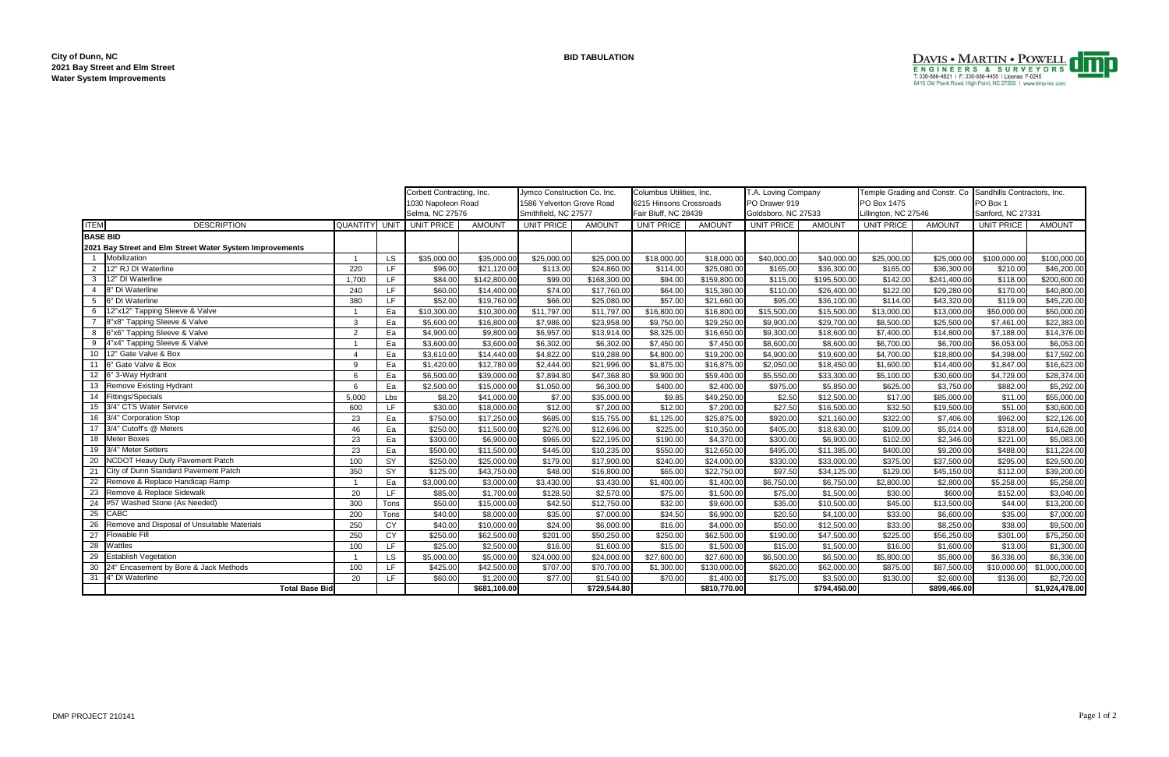ITEM DESCRIPTION QUANTITY UNIT UNIT PRICE AMOUNT UNIT PRICE AMOUNT UNIT PRICE AMOUNT UNIT PRICE AMOUNT UNIT PRICE AMOUNT 1 Mobilization 1 LS \$35,000.00 \$35,000.00 \$25,000.00 \$25,000.00 \$18,000.00 \$18,000.00 \$40,000.00 \$40,000.00 \$25,000.00 \$25,000.00 \$100,000.00 \$100,000.00 2 |12" RJ DI Waterline \$220 | LF | \$96.00| \$113.00| \$24,860.00| \$114.00| \$25,080.00| \$165.00| \$36,300.00| \$\$6,300.00| \$36,300.00| \$210.00| \$46,200.00 3 12" DI Waterline 1,700 LF \$84.00 \$142,800.00 \$99.00 \$168,300.00 \$94.00 \$159,800.00 \$115.00 \$195,500.00 \$142.00 \$241,400.00 \$118.00 \$200,600.00 4 8" DI Waterline 240 LF \$60.00 \$14,400.00 \$74.00 \$17,760.00 \$64.00 \$15,360.00 \$110.00 \$26,400.00 \$122.00 \$29,280.00 \$170.00 \$40,800.00 5 6" DI Waterline 380 LF \$52.00 \$19,760.00 \$66.00 \$25,080.00 \$57.00 \$21,660.00 \$95.00 \$36,100.00 \$114.00 \$43,320.00 \$119.00 \$45,220.00 6 12"x12" Tapping Sleeve & Valve **1** Table 1 and the strong control \$10,300.00 \$11,797.00 \$11,797.00 \$16,800.00 \$16,800.00 \$15,500.00 \$15,500.00 \$15,500.00 7 8"x8" Tapping Sleeve & Valve 3 Ea \$5,600.00 \$16,800.00 \$7,986.00 \$23,958.00 \$9,750.00 \$29,250.00 \$9,900.00 \$29,700.00 \$8,500.00 \$25,500.00 \$7,461.00 \$22,383.00 8 6"x6" Tapping Sleeve & Valve 2 Ea \$4,900.00 \$9,800.00 \$6,957.00 \$13,914.00 \$8,325.00 \$16,650.00 \$9,300.00 \$18,600.00 \$7,400.00 \$14,800.00 \$7,188.00 \$14,376.00 9 4"x4" Tapping Sleeve & Valve **1** 1 Ea \$3,600.00 \$3,600.00 \$6,302.00 \$6,302.00 \$7,450.00 \$7,450.00 \$8,600.00 \$8,600.00 10 12" Gate Valve & Box 4 Ea \$3,610.00 \$14,440.00 \$4,822.00 \$19,288.00 \$4,800.00 \$19,200.00 \$4,900.00 \$19,600.00 \$4,700.00 \$18,800.00 \$4,398.00 \$17,592.00 11 6" Gate Valve & Box \$1,420.00 \$1,780.00 \$2,444.00 \$1,875.00 \$1,875.00 \$2,050.00 \$2,050.00 \$1,600.00 \$1,600.00 \$1,4400.00 \$16,623.00 12 6" 3-Way Hydrant 6 | Ea | \$6,500.00| \$39,000.00| \$7,894.80| \$9,900.00| \$5,900.00| \$5,550.00| \$5,550.00| \$33,300.00| \$5,100.00| \$30,600.00| \$4,729.00| \$28,374.00 13 Remove Existing Hydrant 6 Ea \$2,500.00 \$15,000.00 \$1,050.00 \$6,300.00 \$400.00 \$2,400.00 \$975.00 \$5,850.00 \$625.00 \$3,750.00 \$882.00 \$5,292.00 14 Fittings/Specials 5,000 | Lbs \$8.20| \$41,000.00 \$7.00| \$9.85| \$49,250.00 \$2.50| \$12,500.00 \$17.00| \$85,000.00 \$11.00| \$55,000.00 15 3/4" CTS Water Service 600 LF \$30.00 \$18,000.00 \$12.00 \$7,200.00 \$12.00 \$7,200.00 \$27.50 \$16,500.00 \$32.50 \$19,500.00 \$51.00 \$30,600.00 16 3/4" Corporation Stop \$23 Ea \$ \$750.00 \$17,250.00 \$685.00 \$15,755.00 \$25,875.00 \$920.00 \$21,160.00 \$322.00 \$7,406.00 \$962.00 \$22,126.00 17 3/4" Cutoff's @ Meters \$250.00 \$11,500.00 \$276.00 \$12,696.00 \$10,350.00 \$10,350.00 \$10,350.00 \$10,630.00 \$109.00 \$5,014.00 \$318.00 \$14,628.00 18 Meter Boxes 23 Ea \$300.00 \$6,900.00 \$965.00 \$22,195.00 \$190.00 \$4,370.00 \$300.00 \$6,900.00 \$102.00 \$2,346.00 \$221.00 \$5,083.00 19 3/4" Meter Setters \$23 Ea \$500.00 \$11,500.00 \$445.00 \$50.00 \$12,650.00 \$12,650.00 \$495.00 \$405.00 \$400.00 \$400.00 \$488.00 \$488.00 \$11,224.00 20 NCDOT Heavy Duty Pavement Patch 100 SY \$250.00 \$25,000.00 \$179.00 \$17,900.00 \$240.00 \$24,000.00 \$330.00 \$330 21 City of Dunn Standard Pavement Patch 350 SY \$125.00 \$43,750.00 \$48.00 \$16,800.00 \$65.00 \$22,750.00 \$97.50 \$34,125.00 22 Remove & Replace Handicap Ramp 26,750.00 1 Ca | \$3,000.00 \$3,000.00 \$3,430.00 \$1,400.00 \$1,400.00 \$6,750.00 \$6,750.00 \$6,750.00 23 Remove & Replace Sidewalk \$85.00 \$1,700.00 \$128.50 \$2,570.00 \$1,500.00 \$75.00 \$1,500.00 \$1,500.00 \$600.00 \$600.00 \$152.00 \$3,040.00 24 #57 Washed Stone (As Needed) **300 | 300 | Tons | \$50.00** \$15,000.00 \$12,750.00 \$12,750.00 \$35.00 \$9,600.00 \$35.00 \$35.00 \$10,500.00 25 **C**ABC \$20.00 \$8,000.00 \$35.00 \$7,000.00 \$24.50 \$6,900.00 \$20.50 \$4,100.00 \$33.00 \$6,600.00 \$35.00 \$7,000.00 26 Remove and Disposal of Unsuitable Materials 250 CY \$40.00 \$10,000.00 \$24.00 \$6,000.00 \$16.00 \$4,000.00 \$50.00 \$50.00 \$12,500.00 27 Flowable Fill \$250.00 \$250.00 \$62,500.00 \$201.00 \$250.00 \$62,500.00 \$62,500.00 \$190.00 \$47,500.00 \$225.00 \$56,250.00 \$301.00 \$75,250.00 28 Wattles \$25.00 \$2,500.00 \$16.00 \$1,600.00 \$1,500.00 \$1,500.00 \$1,600.00 \$1,600.00 \$1,300.00 \$1,300.00 29 Establish Vegetation 1 LS \$5,000.00 \$5,000.00 \$24,000.00 \$24,000.00 \$27,600.00 \$27,600.00 \$6,500.00 \$6,500.00 \$5,800.00 \$5,800.00 \$6,336.00 \$6,336.00 30 24" Encasement by Bore & Jack Methods 100 LF \$425.00 \$20,500.00 \$70,700.00 \$1,300.00 \$1,300.00 \$62,000.00 \$62,000.00 \$62,000.00 \$62,000.00 \$62,000.00 \$62,000.00 \$10,000 \$10,000 \$10,000 \$10,000 \$10,000 \$1,300.00 \$1,400.0 31 4" DI Waterline \$2,720.00 \$1,200.00 \$77.00 \$1,540.00 \$1,540.00 \$1,400.00 \$1,400.00 \$3,500.00 \$175.00 \$130.00 \$2,700.00 \$2,720.00 **Total Base Bid \$681,100.00 \$729,544.80 \$810,770.00 \$794,450.00 \$899,466.00 \$1,924,478.00** Corbett Contracting, Inc. Jymco Construction Co. Inc. Columbus Utilities, Inc. 1586 Yelverton Grove Road Smithfield, NC 27577 1030 Napoleon Road 6215 Hinsons Crossroads Fair Bluff, NC 28439 **2021 Bay Street and Elm Street Water System Improvements** T.A. Loving Company PO Drawer 919 Goldsboro, NC 27533 **BASE BID** Selma, NC 27576

|                      | Temple Grading and Constr. Co | Sandhills Contractors, Inc. |                |  |  |  |  |  |
|----------------------|-------------------------------|-----------------------------|----------------|--|--|--|--|--|
| PO Box 1475          |                               | PO Box 1                    |                |  |  |  |  |  |
| Lillington, NC 27546 |                               | Sanford, NC 27331           |                |  |  |  |  |  |
| <b>UNIT PRICE</b>    | <b>AMOUNT</b>                 | <b>UNIT PRICE</b>           | <b>AMOUNT</b>  |  |  |  |  |  |
|                      |                               |                             |                |  |  |  |  |  |
| \$25,000.00          | \$25,000.00                   | \$100,000.00                | \$100,000.00   |  |  |  |  |  |
| \$165.00             | \$36,300.00                   | \$210.00                    | \$46,200.00    |  |  |  |  |  |
| \$142.00             | \$241,400.00                  | \$118.00                    | \$200,600.00   |  |  |  |  |  |
| \$122.00             | \$29,280.00                   | \$170.00                    | \$40,800.00    |  |  |  |  |  |
| \$114.00             | \$43,320.00                   | \$119.00                    | \$45,220.00    |  |  |  |  |  |
| \$13,000.00          | \$13,000.00                   | \$50,000.00                 | \$50,000.00    |  |  |  |  |  |
| \$8,500.00           | \$25,500.00                   | \$7,461.00                  | \$22,383.00    |  |  |  |  |  |
| \$7,400.00           | \$14,800.00                   | \$7,188.00                  | \$14,376.00    |  |  |  |  |  |
| \$6,700.00           | \$6,700.00                    | \$6,053.00                  | \$6,053.00     |  |  |  |  |  |
| \$4,700.00           | \$18,800.00                   | \$4,398.00                  | \$17,592.00    |  |  |  |  |  |
| \$1,600.00           | \$14,400.00                   | \$1,847.00                  | \$16,623.00    |  |  |  |  |  |
| \$5,100.00           | \$30,600.00                   | \$4,729.00                  | \$28,374.00    |  |  |  |  |  |
| \$625.00             | \$3,750.00                    | \$882.00                    | \$5,292.00     |  |  |  |  |  |
| \$17.00              | \$85,000.00                   | \$11.00                     | \$55,000.00    |  |  |  |  |  |
| \$32.50              | \$19,500.00                   | \$51.00                     | \$30,600.00    |  |  |  |  |  |
| \$322.00             | \$7,406.00                    | \$962.00                    | \$22,126.00    |  |  |  |  |  |
| \$109.00             | \$5,014.00                    | \$318.00                    | \$14,628.00    |  |  |  |  |  |
| \$102.00             | \$2,346.00                    | \$221.00                    | \$5,083.00     |  |  |  |  |  |
| \$400.00             | \$9,200.00                    | \$488.00                    | \$11,224.00    |  |  |  |  |  |
| \$375.00             | \$37,500.00                   | \$295.00                    | \$29,500.00    |  |  |  |  |  |
| \$129.00             | \$45,150.00                   | \$112.00                    | \$39,200.00    |  |  |  |  |  |
| \$2,800.00           | \$2,800.00                    | \$5,258.00                  | \$5,258.00     |  |  |  |  |  |
| \$30.00              | \$600.00                      | \$152.00                    | \$3,040.00     |  |  |  |  |  |
| \$45.00              | \$13,500.00                   | \$44.00                     | \$13,200.00    |  |  |  |  |  |
| \$33.00              | \$6,600.00                    | \$35.00                     | \$7,000.00     |  |  |  |  |  |
| \$33.00              | \$8,250.00                    | \$38.00                     | \$9,500.00     |  |  |  |  |  |
| \$225.00             | \$56,250.00                   | \$301.00                    | \$75,250.00    |  |  |  |  |  |
| \$16.00              | \$1,600.00                    | \$13.00                     | \$1,300.00     |  |  |  |  |  |
| \$5,800.00           | \$5,800.00                    | \$6,336.00                  | \$6,336.00     |  |  |  |  |  |
| \$875.00             | \$87,500.00                   | \$10,000.00                 | \$1,000,000.00 |  |  |  |  |  |
| \$130.00             | \$2,600.00                    | \$136.00                    | \$2,720.00     |  |  |  |  |  |
|                      | \$899,466.00                  |                             | \$1,924,478.00 |  |  |  |  |  |